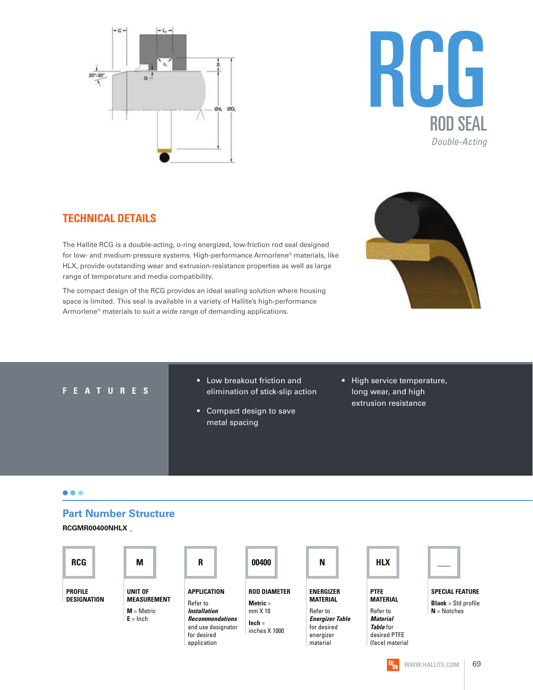



#### **TECHNICAL DETAILS**

The Hallite RCG is a double-acting, o-ring energized, low-friction rod seal designed for low- and medium-pressure systems. High-performance Armorlene® materials, like HLX, provide outstanding wear and extrusion-resistance properties as well as large range of temperature and media compatibility.

The compact design of the RCG provides an ideal sealing solution where housing space is limited. This seal is available in a variety of Hallite's high-performance Armorlene® materials to suit a wide range of demanding applications.



#### **F E A T U R E S**

- Low breakout friction and elimination of stick-slip action
- Compact design to save metal spacing
- High service temperature, long wear, and high extrusion resistance

#### $\bullet\bullet\bullet$

#### **Part Number Structure**

**RCGMR00400NHLX \_**

| <b>RCG</b>                    | M                             | R                                                                          | 00400                             | N                                                              | <b>HLX</b>                                               |                                                        |
|-------------------------------|-------------------------------|----------------------------------------------------------------------------|-----------------------------------|----------------------------------------------------------------|----------------------------------------------------------|--------------------------------------------------------|
| <b>PROFILE</b><br>DESIGNATION | UNIT OF<br><b>MEASUREMENT</b> | APPLICATION<br>Refer to                                                    | <b>ROD DIAMETER</b><br>Metric $=$ | <b>ENERGIZER</b><br><b>MATERIAL</b>                            | <b>PTFE</b><br><b>MATERIAL</b>                           | <b>SPECIAL FEATURE</b><br><b>Blank</b> = $Std$ profile |
|                               | $M =$ Metric                  | <b>Installation</b>                                                        | $mm \times 10$                    | Refer to                                                       | Refer to                                                 | $N = Notches$                                          |
|                               | $E = Inch$                    | <b>Recommendations</b><br>and use designator<br>for desired<br>application | $lnch =$<br>inches X 1000         | <b>Energizer Table</b><br>for desired<br>energizer<br>material | Material<br>Table for<br>desired PTFE<br>(face) material |                                                        |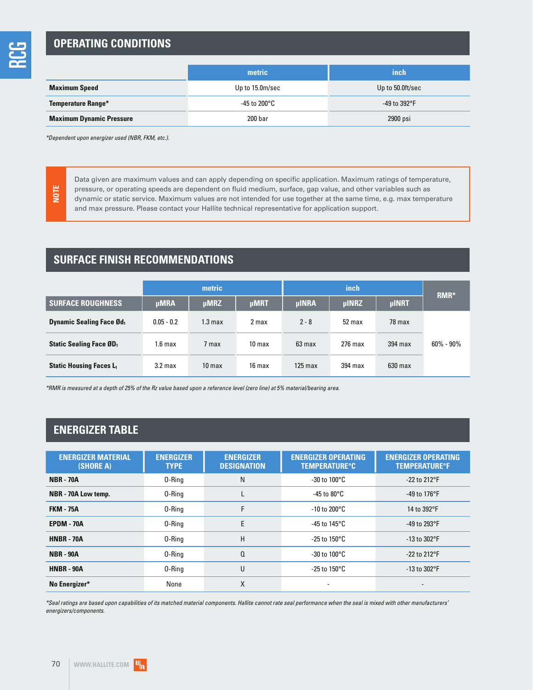#### **OPERATING CONDITIONS**

|                                 | metric          | inch             |  |
|---------------------------------|-----------------|------------------|--|
| <b>Maximum Speed</b>            | Up to 15.0m/sec | Up to 50.0ft/sec |  |
| <b>Temperature Range*</b>       | -45 to 200°C    | -49 to 392°F     |  |
| <b>Maximum Dynamic Pressure</b> | 200 bar         | 2900 psi         |  |

\*Dependent upon energizer used (NBR, FKM, etc.).

**NOTE**

Data given are maximum values and can apply depending on specific application. Maximum ratings of temperature, pressure, or operating speeds are dependent on fluid medium, surface, gap value, and other variables such as dynamic or static service. Maximum values are not intended for use together at the same time, e.g. max temperature and max pressure. Please contact your Hallite technical representative for application support.

#### **SURFACE FINISH RECOMMENDATIONS**

|                                             | metric             |                   |                   |                   | RMR*         |              |               |
|---------------------------------------------|--------------------|-------------------|-------------------|-------------------|--------------|--------------|---------------|
| <b>SURFACE ROUGHNESS</b>                    | <b>µMRA</b>        | <b>µMRZ</b>       | <b>µMRT</b>       | <b>µINRA</b>      | <b>µINRZ</b> | <b>µINRT</b> |               |
| <b>Dynamic Sealing Face Ød</b> <sub>1</sub> | $0.05 - 0.2$       | 1.3 max           | 2 max             | $2 - 8$           | 52 max       | 78 max       |               |
| <b>Static Sealing Face ØD</b> <sub>1</sub>  | 1.6 <sub>max</sub> | 7 max             | 10 <sub>max</sub> | $63 \text{ max}$  | $276$ max    | $394$ max    | $60\% - 90\%$ |
| <b>Static Housing Faces L1</b>              | 3.2 <sub>max</sub> | 10 <sub>max</sub> | 16 max            | $125 \text{ max}$ | 394 max      | $630$ max    |               |

\*RMR is measured at a depth of 25% of the Rz value based upon a reference level (zero line) at 5% material/bearing area.

#### **ENERGIZER TABLE**

| <b>ENERGIZER MATERIAL</b><br>(SHORE A) | <b>ENERGIZER</b><br><b>TYPE</b> | <b>ENERGIZER</b><br><b>DESIGNATION</b> | <b>ENERGIZER OPERATING</b><br><b>TEMPERATURE°C</b> | <b>ENERGIZER OPERATING</b><br><b>TEMPERATURE<sup>o</sup>F</b> |  |
|----------------------------------------|---------------------------------|----------------------------------------|----------------------------------------------------|---------------------------------------------------------------|--|
| <b>NBR - 70A</b>                       | 0-Ring                          | N                                      | $-30$ to $100^{\circ}$ C                           | $-22$ to 212°F                                                |  |
| NBR - 70A Low temp.                    | 0-Ring                          | L                                      | -45 to 80°C                                        | -49 to 176°F                                                  |  |
| <b>FKM - 75A</b>                       | 0-Ring                          | F                                      | $-10$ to 200 $^{\circ}$ C                          | 14 to 392°F                                                   |  |
| <b>EPDM - 70A</b>                      | 0-Rina                          | E                                      | -45 to 145 $\mathrm{^{\circ}C}$                    | -49 to 293°F                                                  |  |
| <b>HNBR - 70A</b>                      | 0-Ring                          | H                                      | -25 to 150°C                                       | $-13$ to $302$ °F                                             |  |
| <b>NBR - 90A</b>                       | 0-Ring                          | $\Omega$                               | $-30$ to $100^{\circ}$ C                           | $-22$ to 212°F                                                |  |
| <b>HNBR - 90A</b>                      | 0-Ring                          | U                                      | -25 to 150°C                                       | $-13$ to $302$ °F                                             |  |
| No Energizer*                          | None                            | X                                      |                                                    |                                                               |  |

\*Seal ratings are based upon capabilities of its matched material components. Hallite cannot rate seal performance when the seal is mixed with other manufacturers' energizers/components.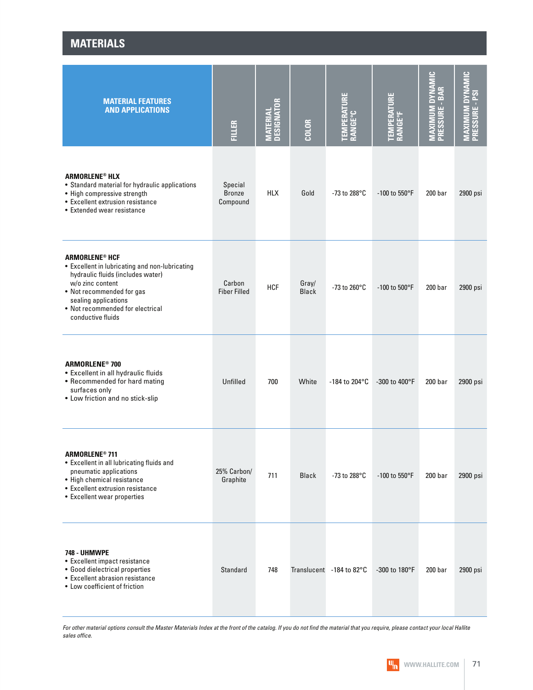| <b>MATERIAL FEATURES</b><br><b>AND APPLICATIONS</b>                                                                                                                                                                                                       | <b>FILLER</b>                        | <b>MATERIAL<br/>DESIGNATOR</b> | <b>COLOR</b>          | 호<br>⊇<br>ERAT<br><b>RANGE°C</b><br>$\overline{\phantom{a}}$<br>큮 | <b>TEMPERATURE<br/>RANGE°F</b> | <b>MAXIMUM DYNAMIC</b><br>PRESSURE - BAR | MAXIMUM DYNAMIC<br>Pressure - PSI |
|-----------------------------------------------------------------------------------------------------------------------------------------------------------------------------------------------------------------------------------------------------------|--------------------------------------|--------------------------------|-----------------------|-------------------------------------------------------------------|--------------------------------|------------------------------------------|-----------------------------------|
| <b>ARMORLENE® HLX</b><br>• Standard material for hydraulic applications<br>• High compressive strength<br>• Excellent extrusion resistance<br>• Extended wear resistance                                                                                  | Special<br><b>Bronze</b><br>Compound | <b>HLX</b>                     | Gold                  | -73 to 288 $^{\circ}$ C                                           | $-100$ to 550°F                | 200 <sub>bar</sub>                       | 2900 psi                          |
| <b>ARMORLENE<sup>®</sup> HCF</b><br>• Excellent in lubricating and non-lubricating<br>hydraulic fluids (includes water)<br>w/o zinc content<br>• Not recommended for gas<br>sealing applications<br>• Not recommended for electrical<br>conductive fluids | Carbon<br><b>Fiber Filled</b>        | <b>HCF</b>                     | Gray/<br><b>Black</b> | -73 to 260°C                                                      | -100 to 500°F                  | 200 <sub>bar</sub>                       | 2900 psi                          |
| <b>ARMORLENE<sup>®</sup> 700</b><br>• Excellent in all hydraulic fluids<br>• Recommended for hard mating<br>surfaces only<br>• Low friction and no stick-slip                                                                                             | Unfilled                             | 700                            | White                 | -184 to 204°C                                                     | -300 to 400°F                  | 200 <sub>bar</sub>                       | 2900 psi                          |
| <b>ARMORLENE® 711</b><br>• Excellent in all lubricating fluids and<br>pneumatic applications<br>• High chemical resistance<br>• Excellent extrusion resistance<br>• Excellent wear properties                                                             | 25% Carbon/<br>Graphite              | 711                            | <b>Black</b>          | -73 to 288°C                                                      | -100 to 550°F                  | 200 <sub>bar</sub>                       | 2900 psi                          |
| <b>748 - UHMWPE</b><br>• Excellent impact resistance<br>• Good dielectrical properties<br>• Excellent abrasion resistance<br>• Low coefficient of friction                                                                                                | Standard                             | 748                            |                       | Translucent -184 to 82°C                                          | -300 to 180°F                  | 200 <sub>bar</sub>                       | 2900 psi                          |

**MATERIALS**

For other material options consult the Master Materials Index at the front of the catalog. If you do not find the material that you require, please contact your local Hallite sales office.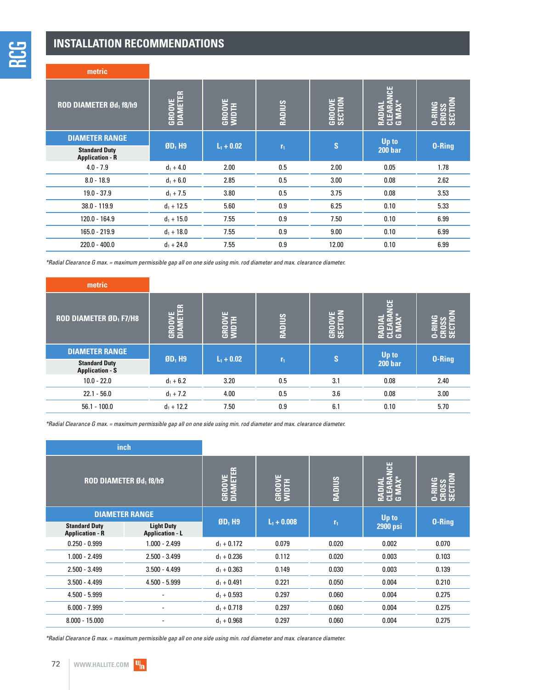#### **INSTALLATION RECOMMENDATIONS**

| metric                                         |                           |                        |                |                          |                                           |                                    |  |
|------------------------------------------------|---------------------------|------------------------|----------------|--------------------------|-------------------------------------------|------------------------------------|--|
| ROD DIAMETER Ød <sub>1</sub> f8/h9             | <b>GROOVE</b><br>DIAMETER | <b>GROOVE</b><br>WIDTH | <b>RADIUS</b>  | <b>GROOVE</b><br>SECTION | <b>US</b><br>EAR<br>ã<br>Σ<br><b>ان</b> ت | <b>O-RING<br/>CROSS</b><br>SECTIOI |  |
| <b>DIAMETER RANGE</b>                          | $ØD1$ H9                  | $L_1 + 0.02$           |                | $\mathbf{s}$             | Up to                                     | <b>0-Ring</b>                      |  |
| <b>Standard Duty</b><br><b>Application - R</b> |                           |                        | r <sub>1</sub> |                          | <b>200 bar</b>                            |                                    |  |
| $4.0 - 7.9$                                    | $d_1 + 4.0$               | 2.00                   | 0.5            | 2.00                     | 0.05                                      | 1.78                               |  |
| $8.0 - 18.9$                                   | $d_1 + 6.0$               | 2.85                   | 0.5            | 3.00                     | 0.08                                      | 2.62                               |  |
| $19.0 - 37.9$                                  | $d_1 + 7.5$               | 3.80                   | 0.5            | 3.75                     | 0.08                                      | 3.53                               |  |
| $38.0 - 119.9$                                 | $d_1 + 12.5$              | 5.60                   | 0.9            | 6.25                     | 0.10                                      | 5.33                               |  |
| $120.0 - 164.9$                                | $d_1 + 15.0$              | 7.55                   | 0.9            | 7.50                     | 0.10                                      | 6.99                               |  |
| 165.0 - 219.9                                  | $d_1 + 18.0$              | 7.55                   | 0.9            | 9.00                     | 0.10                                      | 6.99                               |  |
| $220.0 - 400.0$                                | $d_1 + 24.0$              | 7.55                   | 0.9            | 12.00                    | 0.10                                      | 6.99                               |  |

\*Radial Clearance G max. = maximum permissible gap all on one side using min. rod diameter and max. clearance diameter.

| metric                                         |                         |                             |                |            |                |               |
|------------------------------------------------|-------------------------|-----------------------------|----------------|------------|----------------|---------------|
| <b>ROD DIAMETER ØD<sub>1</sub> F7/H8</b>       | -<br><b>GRO</b><br>DIAN | ш<br><b>GROOVE</b><br>WIDTH | <b>RADIUS</b>  | c<br>GROOT | ଌ<br>င္ ၁ ၁    | ေ ၁ တ         |
| <b>DIAMETER RANGE</b>                          |                         |                             |                |            | Up to          |               |
| <b>Standard Duty</b><br><b>Application - S</b> | $ØD1$ H9                | $L_1 + 0.02$                | r <sub>1</sub> | lS.        | <b>200 bar</b> | <b>0-Ring</b> |
| $10.0 - 22.0$                                  | $d_1 + 6.2$             | 3.20                        | 0.5            | 3.1        | 0.08           | 2.40          |
| $22.1 - 56.0$                                  | $d_1 + 7.2$             | 4.00                        | 0.5            | 3.6        | 0.08           | 3.00          |
| $56.1 - 100.0$                                 | $d_1 + 12.2$            | 7.50                        | 0.9            | 6.1        | 0.10           | 5.70          |

\*Radial Clearance G max. = maximum permissible gap all on one side using min. rod diameter and max. clearance diameter.

|                                                | inch                                        |                           |                        |                |                                        |                                        |
|------------------------------------------------|---------------------------------------------|---------------------------|------------------------|----------------|----------------------------------------|----------------------------------------|
| <b>ROD DIAMETER Ød<sub>1</sub> f8/h9</b>       |                                             | <b>GROOVE</b><br>DIAMETER | <b>GROOVE</b><br>WIDTH | <b>RADIUS</b>  | <b>SP</b><br>É<br>Ξ<br>ਕ ਜੁੜ<br>ਬੁਜ਼ੁਬ | ē<br><b>O-RING</b><br>CROSS<br>SECTION |
|                                                | <b>DIAMETER RANGE</b>                       |                           | $L_1 + 0.008$          |                | Up to                                  | 0-Ring                                 |
| <b>Standard Duty</b><br><b>Application - R</b> | <b>Light Duty</b><br><b>Application - L</b> | $$D1$ H <sub>9</sub>      |                        | r <sub>1</sub> | <b>2900 psi</b>                        |                                        |
| $0.250 - 0.999$                                | $1.000 - 2.499$                             | $d_1 + 0.172$             | 0.079                  | 0.020          | 0.002                                  | 0.070                                  |
| $1.000 - 2.499$                                | $2.500 - 3.499$                             | $d_1 + 0.236$             | 0.112                  | 0.020          | 0.003                                  | 0.103                                  |
| $2.500 - 3.499$                                | $3.500 - 4.499$                             | $d_1 + 0.363$             | 0.149                  | 0.030          | 0.003                                  | 0.139                                  |
| $3.500 - 4.499$                                | $4.500 - 5.999$                             | $d_1 + 0.491$             | 0.221                  | 0.050          | 0.004                                  | 0.210                                  |
| $4.500 - 5.999$                                |                                             | $d_1 + 0.593$             | 0.297                  | 0.060          | 0.004                                  | 0.275                                  |
| $6.000 - 7.999$                                |                                             | $d_1 + 0.718$             | 0.297                  | 0.060          | 0.004                                  | 0.275                                  |
| $8.000 - 15.000$                               |                                             | $d_1 + 0.968$             | 0.297                  | 0.060          | 0.004                                  | 0.275                                  |

\*Radial Clearance G max. = maximum permissible gap all on one side using min. rod diameter and max. clearance diameter.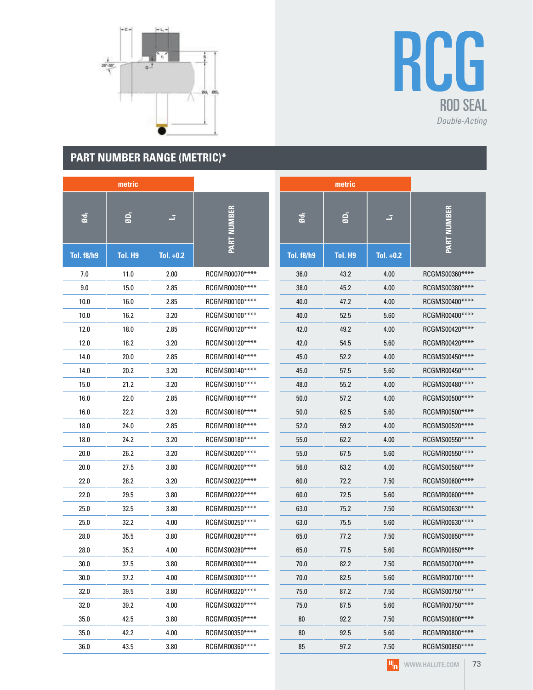

## RCG ROD SEAL Double-Acting

### **PART NUMBER RANGE (METRIC)\***

| metric            |                |             |                    | metric            |                |             |                    |
|-------------------|----------------|-------------|--------------------|-------------------|----------------|-------------|--------------------|
| Ød <sub>1</sub>   | $\overline{a}$ | z,          | <b>PART NUMBER</b> | Ød <sub>1</sub>   | $\overline{a}$ | E.          | <b>PART NUMBER</b> |
| <b>Tol. f8/h9</b> | <b>Tol. H9</b> | Tol. $+0.2$ |                    | <b>Tol. f8/h9</b> | Tol. H9        | Tol. $+0.2$ |                    |
| 7.0               | 11.0           | 2.00        | RCGMR00070****     | 36.0              | 43.2           | 4.00        | RCGMS00360****     |
| 9.0               | 15.0           | 2.85        | RCGMR00090****     | 38.0              | 45.2           | 4.00        | RCGMS00380****     |
| 10.0              | 16.0           | 2.85        | RCGMR00100****     | 40.0              | 47.2           | 4.00        | RCGMS00400****     |
| 10.0              | 16.2           | 3.20        | RCGMS00100****     | 40.0              | 52.5           | 5.60        | RCGMR00400****     |
| 12.0              | 18.0           | 2.85        | RCGMR00120****     | 42.0              | 49.2           | 4.00        | RCGMS00420****     |
| 12.0              | 18.2           | 3.20        | RCGMS00120****     | 42.0              | 54.5           | 5.60        | RCGMR00420****     |
| 14.0              | 20.0           | 2.85        | RCGMR00140****     | 45.0              | 52.2           | 4.00        | RCGMS00450****     |
| 14.0              | 20.2           | 3.20        | RCGMS00140****     | 45.0              | 57.5           | 5.60        | RCGMR00450****     |
| 15.0              | 21.2           | 3.20        | RCGMS00150****     | 48.0              | 55.2           | 4.00        | RCGMS00480****     |
| 16.0              | 22.0           | 2.85        | RCGMR00160****     | 50.0              | 57.2           | 4.00        | RCGMS00500****     |
| 16.0              | 22.2           | 3.20        | RCGMS00160****     | 50.0              | 62.5           | 5.60        | RCGMR00500****     |
| 18.0              | 24.0           | 2.85        | RCGMR00180****     | 52.0              | 59.2           | 4.00        | RCGMS00520****     |
| 18.0              | 24.2           | 3.20        | RCGMS00180****     | 55.0              | 62.2           | 4.00        | RCGMS00550****     |
| 20.0              | 26.2           | 3.20        | RCGMS00200****     | 55.0              | 67.5           | 5.60        | RCGMR00550****     |
| 20.0              | 27.5           | 3.80        | RCGMR00200****     | 56.0              | 63.2           | 4.00        | RCGMS00560****     |
| 22.0              | 28.2           | 3.20        | RCGMS00220****     | 60.0              | 72.2           | 7.50        | RCGMS00600****     |
| 22.0              | 29.5           | 3.80        | RCGMR00220****     | 60.0              | 72.5           | 5.60        | RCGMR00600****     |
| 25.0              | 32.5           | 3.80        | RCGMR00250****     | 63.0              | 75.2           | 7.50        | RCGMS00630****     |
| 25.0              | 32.2           | 4.00        | RCGMS00250****     | 63.0              | 75.5           | 5.60        | RCGMR00630****     |
| 28.0              | 35.5           | 3.80        | RCGMR00280****     | 65.0              | 77.2           | 7.50        | RCGMS00650****     |
| 28.0              | 35.2           | 4.00        | RCGMS00280****     | 65.0              | 77.5           | 5.60        | RCGMR00650****     |
| 30.0              | 37.5           | 3.80        | RCGMR00300****     | 70.0              | 82.2           | 7.50        | RCGMS00700****     |
| 30.0              | 37.2           | 4.00        | RCGMS00300****     | 70.0              | 82.5           | 5.60        | RCGMR00700****     |
| 32.0              | 39.5           | 3.80        | RCGMR00320****     | 75.0              | 87.2           | 7.50        | RCGMS00750****     |
| 32.0              | 39.2           | 4.00        | RCGMS00320****     | 75.0              | 87.5           | 5.60        | RCGMR00750****     |
| 35.0              | 42.5           | 3.80        | RCGMR00350****     | 80                | 92.2           | 7.50        | RCGMS00800****     |
| 35.0              | 42.2           | 4.00        | RCGMS00350*****    | 80                | 92.5           | 5.60        | RCGMR00800****     |
| 36.0              | 43.5           | 3.80        | RCGMR00360****     | 85                | 97.2           | 7.50        | RCGMS00850****     |

 $|\Psi_{\mathbf{n}}|$ WWW.HALLITE.COM | 73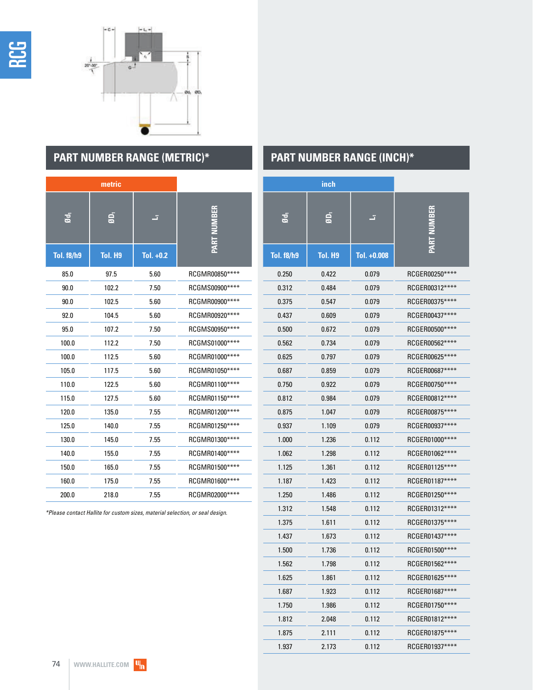



### **PART NUMBER RANGE (METRIC)\* PART NUMBER RANGE (INCH)\***

|                   | metric  |             |                |
|-------------------|---------|-------------|----------------|
| ød,               | é,      | F           | PART NUMBER    |
| <b>Tol. f8/h9</b> | Tol. H9 | Tol. $+0.2$ |                |
| 85.0              | 97.5    | 5.60        | RCGMR00850**** |
| 90.0              | 102.2   | 7.50        | RCGMS00900**** |
| 90.0              | 102.5   | 5.60        | RCGMR00900**** |
| 92.0              | 104.5   | 5.60        | RCGMR00920**** |
| 95.0              | 107.2   | 7.50        | RCGMS00950**** |
| 100.0             | 112.2   | 7.50        | RCGMS01000**** |
| 100.0             | 112.5   | 5.60        | RCGMR01000**** |
| 105.0             | 117.5   | 5.60        | RCGMR01050**** |
| 110.0             | 122.5   | 5.60        | RCGMR01100**** |
| 115.0             | 127.5   | 5.60        | RCGMR01150**** |
| 120.0             | 135.0   | 7.55        | RCGMR01200**** |
| 125.0             | 140.0   | 7.55        | RCGMR01250**** |
| 130.0             | 145.0   | 7.55        | RCGMR01300**** |
| 140.0             | 155.0   | 7.55        | RCGMR01400**** |
| 150.0             | 165.0   | 7.55        | RCGMR01500**** |
| 160.0             | 175.0   | 7.55        | RCGMR01600**** |
| 200.0             | 218.0   | 7.55        | RCGMR02000**** |

\*Please contact Hallite for custom sizes, material selection, or seal design.

|                   | inch           |             |                 |
|-------------------|----------------|-------------|-----------------|
| ਫ਼                | Ġ,             | F           | ART NIIMBER     |
| <b>Tol. f8/h9</b> | <b>Tol. H9</b> | Tol. +0.008 |                 |
| 0.250             | 0.422          | 0.079       | RCGER00250****  |
| 0.312             | 0.484          | 0.079       | RCGER00312****  |
| 0.375             | 0.547          | 0.079       | RCGER00375****  |
| 0.437             | 0.609          | 0.079       | RCGER00437****  |
| 0.500             | 0.672          | 0.079       | RCGER00500****  |
| 0.562             | 0.734          | 0.079       | RCGER00562****  |
| 0.625             | 0.797          | 0.079       | RCGER00625****  |
| 0.687             | 0.859          | 0.079       | RCGER00687****  |
| 0.750             | 0.922          | 0.079       | RCGER00750****  |
| 0.812             | 0.984          | 0.079       | RCGER00812****  |
| 0.875             | 1.047          | 0.079       | RCGER00875****  |
| 0.937             | 1.109          | 0.079       | RCGER00937****  |
| 1.000             | 1.236          | 0.112       | RCGER01000****  |
| 1.062             | 1.298          | 0.112       | RCGER01062****  |
| 1.125             | 1.361          | 0.112       | RCGER01125****  |
| 1.187             | 1.423          | 0.112       | RCGER01187****  |
| 1.250             | 1.486          | 0.112       | RCGER01250****  |
| 1.312             | 1.548          | 0.112       | RCGER01312****  |
| 1.375             | 1.611          | 0.112       | RCGER01375****  |
| 1.437             | 1.673          | 0.112       | RCGER01437****  |
| 1.500             | 1.736          | 0.112       | RCGER01500****  |
| 1.562             | 1.798          | 0.112       | RCGER01562****  |
| 1.625             | 1.861          | 0.112       | RCGER01625****  |
| 1.687             | 1.923          | 0.112       | RCGER01687****  |
| 1.750             | 1.986          | 0.112       | RCGER01750****  |
| 1.812             | 2.048          | 0.112       | RCGER01812****  |
| 1.875             | 2.111          | 0.112       | RCGER01875 **** |
| 1.937             | 2.173          | 0.112       | RCGER01937****  |